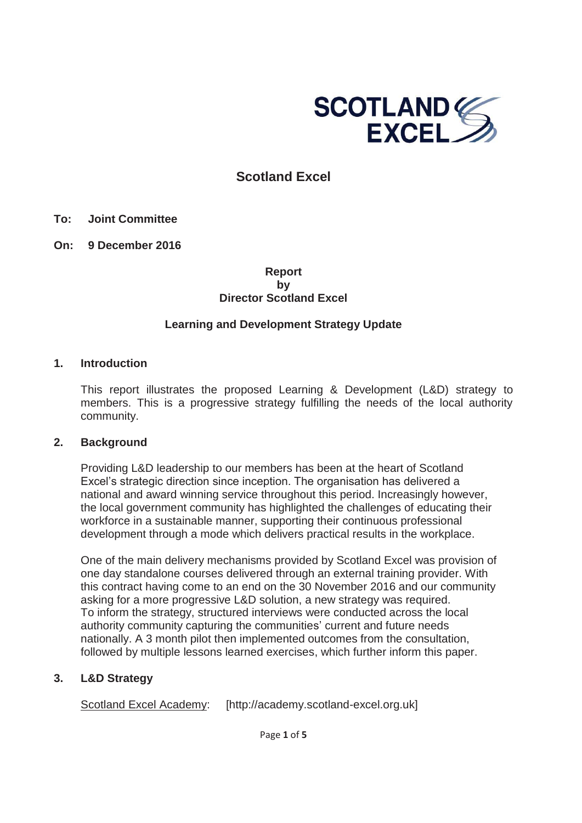

# **Scotland Excel**

### **To: Joint Committee**

**On: 9 December 2016** 

### **Report by Director Scotland Excel**

### **Learning and Development Strategy Update**

### **1. Introduction**

This report illustrates the proposed Learning & Development (L&D) strategy to members. This is a progressive strategy fulfilling the needs of the local authority community.

### **2. Background**

Providing L&D leadership to our members has been at the heart of Scotland Excel's strategic direction since inception. The organisation has delivered a national and award winning service throughout this period. Increasingly however, the local government community has highlighted the challenges of educating their workforce in a sustainable manner, supporting their continuous professional development through a mode which delivers practical results in the workplace.

One of the main delivery mechanisms provided by Scotland Excel was provision of one day standalone courses delivered through an external training provider. With this contract having come to an end on the 30 November 2016 and our community asking for a more progressive L&D solution, a new strategy was required. To inform the strategy, structured interviews were conducted across the local authority community capturing the communities' current and future needs nationally. A 3 month pilot then implemented outcomes from the consultation, followed by multiple lessons learned exercises, which further inform this paper.

### **3. L&D Strategy**

Scotland Excel Academy: [http://academy.scotland-excel.org.uk]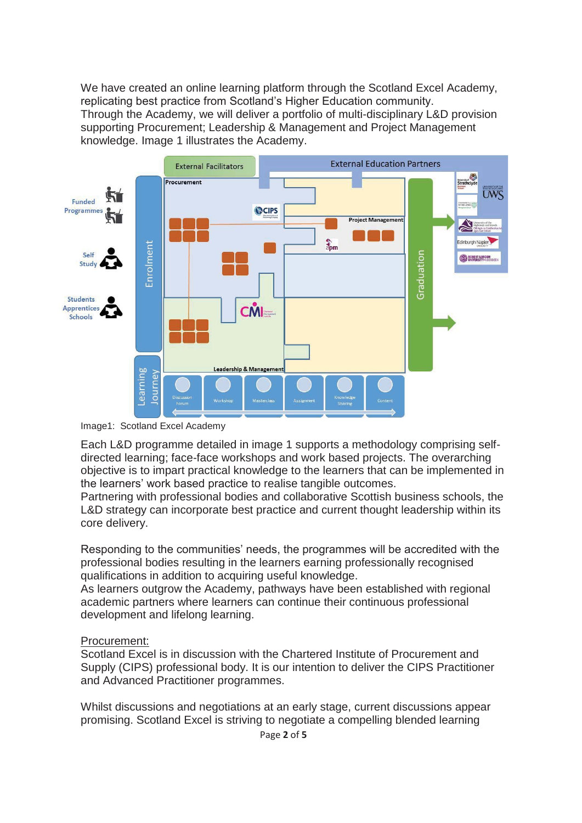We have created an online learning platform through the Scotland Excel Academy, replicating best practice from Scotland's Higher Education community. Through the Academy, we will deliver a portfolio of multi-disciplinary L&D provision supporting Procurement; Leadership & Management and Project Management knowledge. Image 1 illustrates the Academy.



Image1: Scotland Excel Academy

Each L&D programme detailed in image 1 supports a methodology comprising selfdirected learning; face-face workshops and work based projects. The overarching objective is to impart practical knowledge to the learners that can be implemented in the learners' work based practice to realise tangible outcomes.

Partnering with professional bodies and collaborative Scottish business schools, the L&D strategy can incorporate best practice and current thought leadership within its core delivery.

Responding to the communities' needs, the programmes will be accredited with the professional bodies resulting in the learners earning professionally recognised qualifications in addition to acquiring useful knowledge.

As learners outgrow the Academy, pathways have been established with regional academic partners where learners can continue their continuous professional development and lifelong learning.

### Procurement:

Scotland Excel is in discussion with the Chartered Institute of Procurement and Supply (CIPS) professional body. It is our intention to deliver the CIPS Practitioner and Advanced Practitioner programmes.

Whilst discussions and negotiations at an early stage, current discussions appear promising. Scotland Excel is striving to negotiate a compelling blended learning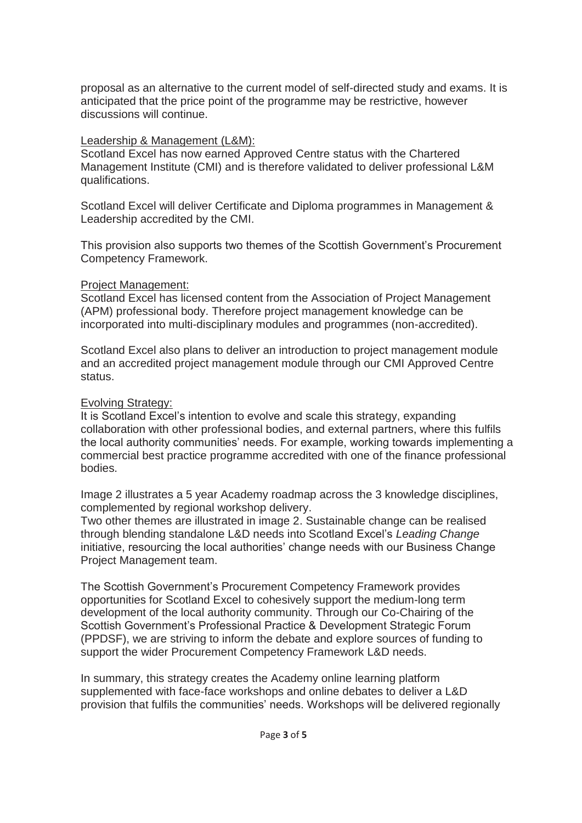proposal as an alternative to the current model of self-directed study and exams. It is anticipated that the price point of the programme may be restrictive, however discussions will continue.

### Leadership & Management (L&M):

Scotland Excel has now earned Approved Centre status with the Chartered Management Institute (CMI) and is therefore validated to deliver professional L&M qualifications.

Scotland Excel will deliver Certificate and Diploma programmes in Management & Leadership accredited by the CMI.

This provision also supports two themes of the Scottish Government's Procurement Competency Framework.

### Project Management:

Scotland Excel has licensed content from the Association of Project Management (APM) professional body. Therefore project management knowledge can be incorporated into multi-disciplinary modules and programmes (non-accredited).

Scotland Excel also plans to deliver an introduction to project management module and an accredited project management module through our CMI Approved Centre status.

## Evolving Strategy:

It is Scotland Excel's intention to evolve and scale this strategy, expanding collaboration with other professional bodies, and external partners, where this fulfils the local authority communities' needs. For example, working towards implementing a commercial best practice programme accredited with one of the finance professional bodies.

Image 2 illustrates a 5 year Academy roadmap across the 3 knowledge disciplines, complemented by regional workshop delivery.

Two other themes are illustrated in image 2. Sustainable change can be realised through blending standalone L&D needs into Scotland Excel's *Leading Change* initiative, resourcing the local authorities' change needs with our Business Change Project Management team.

The Scottish Government's Procurement Competency Framework provides opportunities for Scotland Excel to cohesively support the medium-long term development of the local authority community. Through our Co-Chairing of the Scottish Government's Professional Practice & Development Strategic Forum (PPDSF), we are striving to inform the debate and explore sources of funding to support the wider Procurement Competency Framework L&D needs.

In summary, this strategy creates the Academy online learning platform supplemented with face-face workshops and online debates to deliver a L&D provision that fulfils the communities' needs. Workshops will be delivered regionally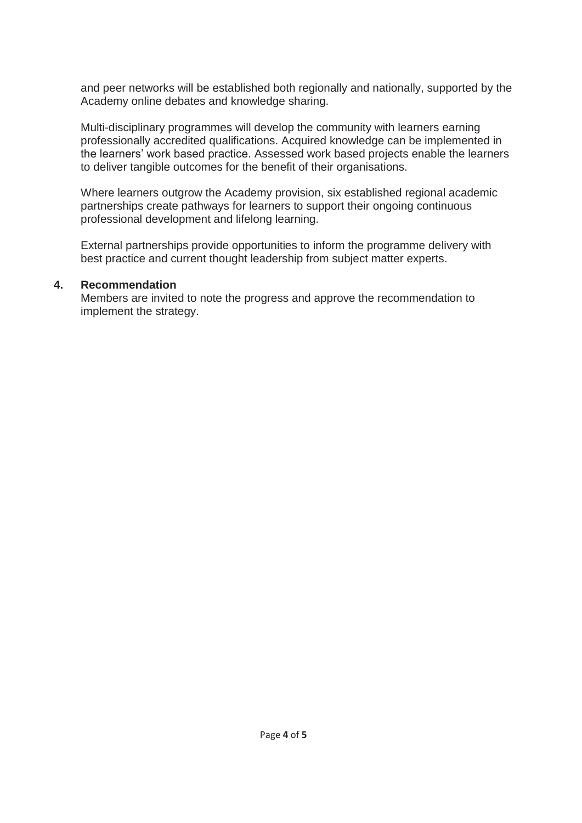and peer networks will be established both regionally and nationally, supported by the Academy online debates and knowledge sharing.

Multi-disciplinary programmes will develop the community with learners earning professionally accredited qualifications. Acquired knowledge can be implemented in the learners' work based practice. Assessed work based projects enable the learners to deliver tangible outcomes for the benefit of their organisations.

Where learners outgrow the Academy provision, six established regional academic partnerships create pathways for learners to support their ongoing continuous professional development and lifelong learning.

External partnerships provide opportunities to inform the programme delivery with best practice and current thought leadership from subject matter experts.

### **4. Recommendation**

Members are invited to note the progress and approve the recommendation to implement the strategy.